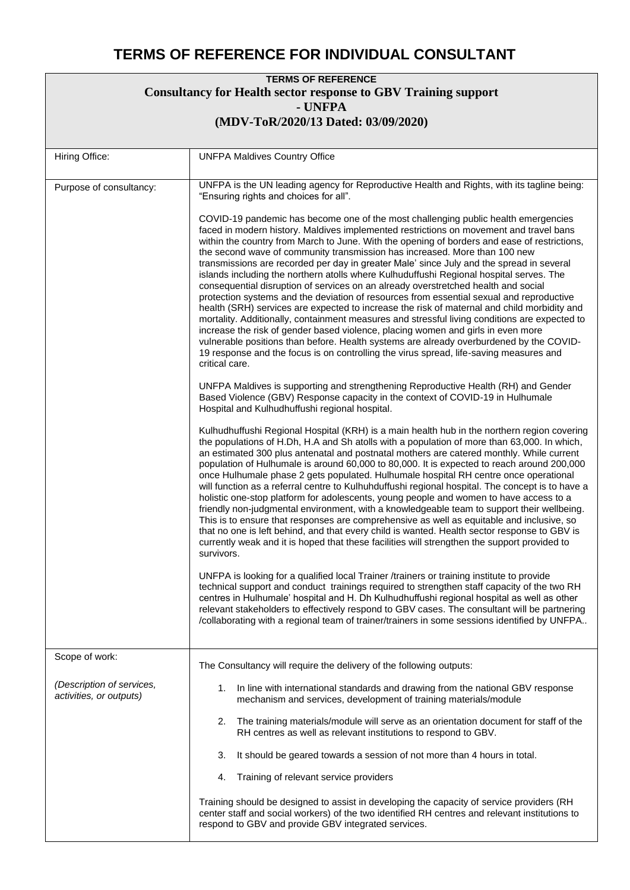## **TERMS OF REFERENCE FOR INDIVIDUAL CONSULTANT**

| <b>TERMS OF REFERENCE</b><br><b>Consultancy for Health sector response to GBV Training support</b><br>- UNFPA<br>(MDV-ToR/2020/13 Dated: 03/09/2020) |                                                                                                                                                                                                                                                                                                                                                                                                                                                                                                                                                                                                                                                                                                                                                                                                                                                                                                                                                                                                                                                                                                                                                                                                                                                                                                                                                                                                                                                                                                                                                                                                                                                                                                                                                                                                                                                                                                                                                                                                                                                                                                                                                                                                                                                                                                                                                                                                                                                                                                                                                                                                                                                                                                                                                                                                                                                                                                                                                                                                                                                                                                                                                                                   |  |
|------------------------------------------------------------------------------------------------------------------------------------------------------|-----------------------------------------------------------------------------------------------------------------------------------------------------------------------------------------------------------------------------------------------------------------------------------------------------------------------------------------------------------------------------------------------------------------------------------------------------------------------------------------------------------------------------------------------------------------------------------------------------------------------------------------------------------------------------------------------------------------------------------------------------------------------------------------------------------------------------------------------------------------------------------------------------------------------------------------------------------------------------------------------------------------------------------------------------------------------------------------------------------------------------------------------------------------------------------------------------------------------------------------------------------------------------------------------------------------------------------------------------------------------------------------------------------------------------------------------------------------------------------------------------------------------------------------------------------------------------------------------------------------------------------------------------------------------------------------------------------------------------------------------------------------------------------------------------------------------------------------------------------------------------------------------------------------------------------------------------------------------------------------------------------------------------------------------------------------------------------------------------------------------------------------------------------------------------------------------------------------------------------------------------------------------------------------------------------------------------------------------------------------------------------------------------------------------------------------------------------------------------------------------------------------------------------------------------------------------------------------------------------------------------------------------------------------------------------------------------------------------------------------------------------------------------------------------------------------------------------------------------------------------------------------------------------------------------------------------------------------------------------------------------------------------------------------------------------------------------------------------------------------------------------------------------------------------------------|--|
| Hiring Office:                                                                                                                                       | <b>UNFPA Maldives Country Office</b>                                                                                                                                                                                                                                                                                                                                                                                                                                                                                                                                                                                                                                                                                                                                                                                                                                                                                                                                                                                                                                                                                                                                                                                                                                                                                                                                                                                                                                                                                                                                                                                                                                                                                                                                                                                                                                                                                                                                                                                                                                                                                                                                                                                                                                                                                                                                                                                                                                                                                                                                                                                                                                                                                                                                                                                                                                                                                                                                                                                                                                                                                                                                              |  |
| Purpose of consultancy:                                                                                                                              | UNFPA is the UN leading agency for Reproductive Health and Rights, with its tagline being:<br>"Ensuring rights and choices for all".<br>COVID-19 pandemic has become one of the most challenging public health emergencies<br>faced in modern history. Maldives implemented restrictions on movement and travel bans<br>within the country from March to June. With the opening of borders and ease of restrictions,<br>the second wave of community transmission has increased. More than 100 new<br>transmissions are recorded per day in greater Male' since July and the spread in several<br>islands including the northern atolls where Kulhuduffushi Regional hospital serves. The<br>consequential disruption of services on an already overstretched health and social<br>protection systems and the deviation of resources from essential sexual and reproductive<br>health (SRH) services are expected to increase the risk of maternal and child morbidity and<br>mortality. Additionally, containment measures and stressful living conditions are expected to<br>increase the risk of gender based violence, placing women and girls in even more<br>vulnerable positions than before. Health systems are already overburdened by the COVID-<br>19 response and the focus is on controlling the virus spread, life-saving measures and<br>critical care.<br>UNFPA Maldives is supporting and strengthening Reproductive Health (RH) and Gender<br>Based Violence (GBV) Response capacity in the context of COVID-19 in Hulhumale<br>Hospital and Kulhudhuffushi regional hospital.<br>Kulhudhuffushi Regional Hospital (KRH) is a main health hub in the northern region covering<br>the populations of H.Dh, H.A and Sh atolls with a population of more than 63,000. In which,<br>an estimated 300 plus antenatal and postnatal mothers are catered monthly. While current<br>population of Hulhumale is around 60,000 to 80,000. It is expected to reach around 200,000<br>once Hulhumale phase 2 gets populated. Hulhumale hospital RH centre once operational<br>will function as a referral centre to Kulhuhduffushi regional hospital. The concept is to have a<br>holistic one-stop platform for adolescents, young people and women to have access to a<br>friendly non-judgmental environment, with a knowledgeable team to support their wellbeing.<br>This is to ensure that responses are comprehensive as well as equitable and inclusive, so<br>that no one is left behind, and that every child is wanted. Health sector response to GBV is<br>currently weak and it is hoped that these facilities will strengthen the support provided to<br>survivors.<br>UNFPA is looking for a qualified local Trainer /trainers or training institute to provide<br>technical support and conduct trainings required to strengthen staff capacity of the two RH<br>centres in Hulhumale' hospital and H. Dh Kulhudhuffushi regional hospital as well as other<br>relevant stakeholders to effectively respond to GBV cases. The consultant will be partnering<br>/collaborating with a regional team of trainer/trainers in some sessions identified by UNFPA |  |
| Scope of work:<br>(Description of services,<br>activities, or outputs)                                                                               | The Consultancy will require the delivery of the following outputs:<br>In line with international standards and drawing from the national GBV response<br>1.<br>mechanism and services, development of training materials/module<br>The training materials/module will serve as an orientation document for staff of the<br>2.<br>RH centres as well as relevant institutions to respond to GBV.<br>3.<br>It should be geared towards a session of not more than 4 hours in total.<br>Training of relevant service providers<br>4.                                                                                                                                                                                                                                                                                                                                                                                                                                                                                                                                                                                                                                                                                                                                                                                                                                                                                                                                                                                                                                                                                                                                                                                                                                                                                                                                                                                                                                                                                                                                                                                                                                                                                                                                                                                                                                                                                                                                                                                                                                                                                                                                                                                                                                                                                                                                                                                                                                                                                                                                                                                                                                                |  |
|                                                                                                                                                      | Training should be designed to assist in developing the capacity of service providers (RH<br>center staff and social workers) of the two identified RH centres and relevant institutions to<br>respond to GBV and provide GBV integrated services.                                                                                                                                                                                                                                                                                                                                                                                                                                                                                                                                                                                                                                                                                                                                                                                                                                                                                                                                                                                                                                                                                                                                                                                                                                                                                                                                                                                                                                                                                                                                                                                                                                                                                                                                                                                                                                                                                                                                                                                                                                                                                                                                                                                                                                                                                                                                                                                                                                                                                                                                                                                                                                                                                                                                                                                                                                                                                                                                |  |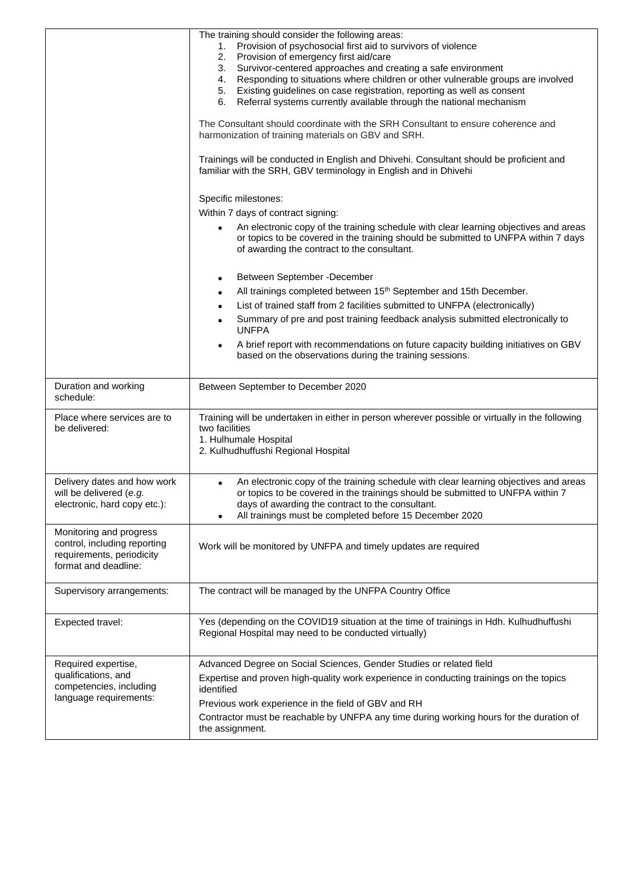|                                                                                                              | The training should consider the following areas:<br>Provision of psychosocial first aid to survivors of violence<br>1.<br>Provision of emergency first aid/care<br>2.<br>Survivor-centered approaches and creating a safe environment<br>3.<br>Responding to situations where children or other vulnerable groups are involved<br>4.<br>Existing guidelines on case registration, reporting as well as consent<br>5.<br>Referral systems currently available through the national mechanism<br>6.<br>The Consultant should coordinate with the SRH Consultant to ensure coherence and<br>harmonization of training materials on GBV and SRH.<br>Trainings will be conducted in English and Dhivehi. Consultant should be proficient and<br>familiar with the SRH, GBV terminology in English and in Dhivehi |
|--------------------------------------------------------------------------------------------------------------|--------------------------------------------------------------------------------------------------------------------------------------------------------------------------------------------------------------------------------------------------------------------------------------------------------------------------------------------------------------------------------------------------------------------------------------------------------------------------------------------------------------------------------------------------------------------------------------------------------------------------------------------------------------------------------------------------------------------------------------------------------------------------------------------------------------|
|                                                                                                              | Specific milestones:<br>Within 7 days of contract signing:<br>An electronic copy of the training schedule with clear learning objectives and areas<br>or topics to be covered in the training should be submitted to UNFPA within 7 days<br>of awarding the contract to the consultant.                                                                                                                                                                                                                                                                                                                                                                                                                                                                                                                      |
|                                                                                                              | Between September - December<br>$\bullet$<br>All trainings completed between 15 <sup>th</sup> September and 15th December.<br>List of trained staff from 2 facilities submitted to UNFPA (electronically)<br>Summary of pre and post training feedback analysis submitted electronically to<br><b>UNFPA</b><br>A brief report with recommendations on future capacity building initiatives on GBV<br>based on the observations during the training sessions.                                                                                                                                                                                                                                                                                                                                                 |
| Duration and working<br>schedule:                                                                            | Between September to December 2020                                                                                                                                                                                                                                                                                                                                                                                                                                                                                                                                                                                                                                                                                                                                                                           |
| Place where services are to<br>be delivered:                                                                 | Training will be undertaken in either in person wherever possible or virtually in the following<br>two facilities<br>1. Hulhumale Hospital<br>2. Kulhudhuffushi Regional Hospital                                                                                                                                                                                                                                                                                                                                                                                                                                                                                                                                                                                                                            |
| Delivery dates and how work<br>will be delivered (e.g.<br>electronic, hard copy etc.):                       | An electronic copy of the training schedule with clear learning objectives and areas<br>or topics to be covered in the trainings should be submitted to UNFPA within 7<br>days of awarding the contract to the consultant.<br>All trainings must be completed before 15 December 2020                                                                                                                                                                                                                                                                                                                                                                                                                                                                                                                        |
| Monitoring and progress<br>control, including reporting<br>requirements, periodicity<br>format and deadline: | Work will be monitored by UNFPA and timely updates are required                                                                                                                                                                                                                                                                                                                                                                                                                                                                                                                                                                                                                                                                                                                                              |
| Supervisory arrangements:                                                                                    | The contract will be managed by the UNFPA Country Office                                                                                                                                                                                                                                                                                                                                                                                                                                                                                                                                                                                                                                                                                                                                                     |
| Expected travel:                                                                                             | Yes (depending on the COVID19 situation at the time of trainings in Hdh. Kulhudhuffushi<br>Regional Hospital may need to be conducted virtually)                                                                                                                                                                                                                                                                                                                                                                                                                                                                                                                                                                                                                                                             |
| Required expertise,<br>qualifications, and<br>competencies, including<br>language requirements:              | Advanced Degree on Social Sciences, Gender Studies or related field<br>Expertise and proven high-quality work experience in conducting trainings on the topics<br>identified<br>Previous work experience in the field of GBV and RH<br>Contractor must be reachable by UNFPA any time during working hours for the duration of<br>the assignment.                                                                                                                                                                                                                                                                                                                                                                                                                                                            |